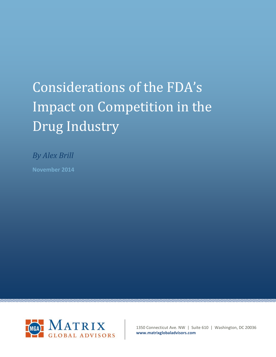# Considerations of the FDA's Impact on Competition in the Drug Industry

*By Alex Brill*

**November 2014**



1350 Connecticut Ave. NW | Suite 610 | Washington, DC 20036 **www.matrixglobaladvisors.com**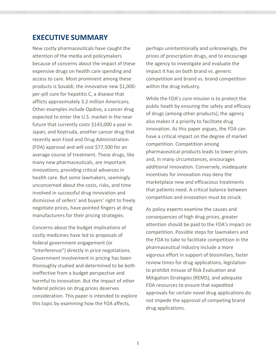## **EXECUTIVE SUMMARY**

New costly pharmaceuticals have caught the attention of the media and policymakers because of concerns about the impact of these expensive drugs on health care spending and access to care. Most prominent among these products is Sovaldi, the innovative new \$1,000 per-pill cure for hepatitis C, a disease that afflicts approximately 3.2 million Americans. Other examples include Opdivo, a cancer drug expected to enter the U.S. market in the near future that currently costs \$143,000 a year in Japan, and Keytruda, another cancer drug that recently won Food and Drug Administration (FDA) approval and will cost \$77,500 for an average course of treatment. These drugs, like many new pharmaceuticals, are important innovations, providing critical advances in health care. But some lawmakers, seemingly unconcerned about the costs, risks, and time involved in successful drug innovation and dismissive of sellers' and buyers' right to freely negotiate prices, have pointed fingers at drug manufacturers for their pricing strategies.

Concerns about the budget implications of costly medicines have led to proposals of federal government engagement (or "interference") directly in price negotiations. Government involvement in pricing has been thoroughly studied and determined to be both ineffective from a budget perspective and harmful to innovation. But the impact of other federal policies on drug prices deserves consideration. This paper is intended to explore this topic by examining how the FDA affects,

perhaps unintentionally and unknowingly, the prices of prescription drugs, and to encourage the agency to investigate and evaluate the impact it has on both brand vs. generic competition and brand vs. brand competition within the drug industry.

While the FDA's core mission is to protect the public heath by ensuring the safety and efficacy of drugs (among other products), the agency also makes it a priority to facilitate drug innovation. As this paper argues, the FDA can have a critical impact on the degree of market competition. Competition among pharmaceutical products leads to lower prices and, in many circumstances, encourages additional innovation. Conversely, inadequate incentives for innovation may deny the marketplace new and efficacious treatments that patients need. A critical balance between competition and innovation must be struck.

As policy experts examine the causes and consequences of high drug prices, greater attention should be paid to the FDA's impact on competition. Possible steps for lawmakers and the FDA to take to facilitate competition in the pharmaceutical industry include a more vigorous effort in support of biosimilars, faster review times for drug applications, legislation to prohibit misuse of Risk Evaluation and Mitigation Strategies (REMS), and adequate FDA resources to ensure that expedited approvals for certain novel drug applications do not impede the approval of competing brand drug applications.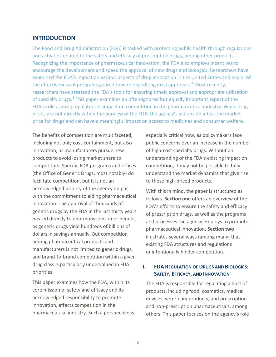#### **INTRODUCTION**

The Food and Drug Administration (FDA) is tasked with protecting public health through regulations and activities related to the safety and efficacy of prescription drugs, among other products. Recognizing the importance of pharmaceutical innovation, the FDA also employs incentives to encourage the development and speed the approval of new drugs and biologics. Researchers have examined the FDA's impact on various aspects of drug innovation in the United States and explored the effectiveness of programs geared toward expediting drug approvals.<sup>[1](#page-10-0)</sup> Most recently, researchers have assessed the FDA's tools for ensuring timely approval and appropriate utilization of specialty drugs.<sup>[2](#page-10-1)</sup> This paper examines an often-ignored but equally important aspect of the FDA's role as drug regulator: its impact on competition in the pharmaceutical industry. While drug prices are not directly within the purview of the FDA, the agency's actions do affect the market price for drugs and can have a meaningful impact on access to medicines and consumer welfare.

The benefits of competition are multifaceted, including not only cost-containment, but also innovation, as manufacturers pursue new products to avoid losing market share to competitors. Specific FDA programs and offices (the Office of Generic Drugs, most notably) do facilitate competition, but it is not an acknowledged priority of the agency on par with the commitment to aiding pharmaceutical innovation. The approval of thousands of generic drugs by the FDA in the last thirty years has led directly to enormous consumer benefit, as generic drugs yield hundreds of billions of dollars in savings annually. But competition among pharmaceutical products and manufacturers is not limited to generic drugs, and brand-to-brand competition within a given drug class is particularly undervalued in FDA priorities.

This paper examines how the FDA, within its core mission of safety and efficacy and its acknowledged responsibility to promote innovation, affects competition in the pharmaceutical industry. Such a perspective is especially critical now, as policymakers face public concerns over an increase in the number of high-cost specialty drugs. Without an understanding of the FDA's existing impact on competition, it may not be possible to fully understand the market dynamics that give rise to these high-priced products.

With this in mind, the paper is structured as follows. **Section one** offers an overview of the FDA's efforts to ensure the safety and efficacy of prescription drugs, as well as the programs and processes the agency employs to promote pharmaceutical innovation. **Section two** illustrates several ways (among many) that existing FDA structures and regulations unintentionally hinder competition.

#### **I. FDA REGULATION OF DRUGS AND BIOLOGICS: SAFETY, EFFICACY, AND INNOVATION**

The FDA is responsible for regulating a host of products, including food, cosmetics, medical devices, veterinary products, and prescription and non-prescription pharmaceuticals, among others. This paper focuses on the agency's role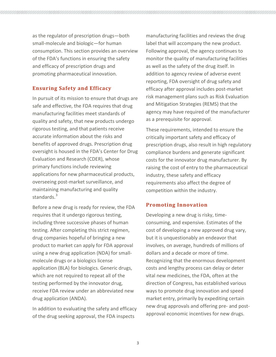as the regulator of prescription drugs—both small-molecule and biologic—for human consumption. This section provides an overview of the FDA's functions in ensuring the safety and efficacy of prescription drugs and promoting pharmaceutical innovation.

## **Ensuring Safety and Efficacy**

In pursuit of its mission to ensure that drugs are safe and effective, the FDA requires that drug manufacturing facilities meet standards of quality and safety, that new products undergo rigorous testing, and that patients receive accurate information about the risks and benefits of approved drugs. Prescription drug oversight is housed in the FDA's Center for Drug Evaluation and Research (CDER), whose primary functions include reviewing applications for new pharmaceutical products, overseeing post-market surveillance, and maintaining manufacturing and quality standards.<sup>[3](#page-10-2)</sup>

Before a new drug is ready for review, the FDA requires that it undergo rigorous testing, including three successive phases of human testing. After completing this strict regimen, drug companies hopeful of bringing a new product to market can apply for FDA approval using a new drug application (NDA) for smallmolecule drugs or a biologics license application (BLA) for biologics. Generic drugs, which are not required to repeat all of the testing performed by the innovator drug, receive FDA review under an abbreviated new drug application (ANDA).

In addition to evaluating the safety and efficacy of the drug seeking approval, the FDA inspects

manufacturing facilities and reviews the drug label that will accompany the new product. Following approval, the agency continues to monitor the quality of manufacturing facilities as well as the safety of the drug itself. In addition to agency review of adverse event reporting, FDA oversight of drug safety and efficacy after approval includes post-market risk management plans such as Risk Evaluation and Mitigation Strategies (REMS) that the agency may have required of the manufacturer as a prerequisite for approval.

These requirements, intended to ensure the critically important safety and efficacy of prescription drugs, also result in high regulatory compliance burdens and generate significant costs for the innovator drug manufacturer. By raising the cost of entry to the pharmaceutical industry, these safety and efficacy requirements also affect the degree of competition within the industry.

## **Promoting Innovation**

Developing a new drug is risky, timeconsuming, and expensive. Estimates of the cost of developing a new approved drug vary, but it is unquestionably an endeavor that involves, on average, hundreds of millions of dollars and a decade or more of time. Recognizing that the enormous development costs and lengthy process can delay or deter vital new medicines, the FDA, often at the direction of Congress, has established various ways to promote drug innovation and speed market entry, primarily by expediting certain new drug approvals and offering pre- and postapproval economic incentives for new drugs.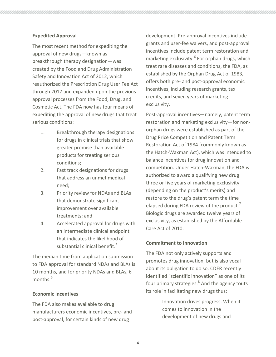#### **Expedited Approval**

The most recent method for expediting the approval of new drugs—known as breakthrough therapy designation—was created by the Food and Drug Administration Safety and Innovation Act of 2012, which reauthorized the Prescription Drug User Fee Act through 2017 and expanded upon the previous approval processes from the Food, Drug, and Cosmetic Act. The FDA now has four means of expediting the approval of new drugs that treat serious conditions:

- 1. Breakthrough therapy designations for drugs in clinical trials that show greater promise than available products for treating serious conditions;
- 2. Fast track designations for drugs that address an unmet medical need;
- 3. Priority review for NDAs and BLAs that demonstrate significant improvement over available treatments; and
- 4. Accelerated approval for drugs with an intermediate clinical endpoint that indicates the likelihood of substantial clinical benefit.<sup>[4](#page-10-3)</sup>

The median time from application submission to FDA approval for standard NDAs and BLAs is 10 months, and for priority NDAs and BLAs, 6 months. [5](#page-10-4)

#### **Economic Incentives**

The FDA also makes available to drug manufacturers economic incentives, pre- and post-approval, for certain kinds of new drug

development. Pre-approval incentives include grants and user-fee waivers, and post-approval incentives include patent term restoration and marketing exclusivity.<sup>[6](#page-10-5)</sup> For orphan drugs, which treat rare diseases and conditions, the FDA, as established by the Orphan Drug Act of 1983, offers both pre- and post-approval economic incentives, including research grants, tax credits, and seven years of marketing exclusivity.

Post-approval incentives—namely, patent term restoration and marketing exclusivity—for nonorphan drugs were established as part of the Drug Price Competition and Patent Term Restoration Act of 1984 (commonly known as the Hatch-Waxman Act), which was intended to balance incentives for drug innovation and competition. Under Hatch-Waxman, the FDA is authorized to award a qualifying new drug three or five years of marketing exclusivity (depending on the product's merits) and restore to the drug's patent term the time elapsed during FDA review of the product.<sup>[7](#page-10-6)</sup> Biologic drugs are awarded twelve years of exclusivity, as established by the Affordable Care Act of 2010.

#### **Commitment to Innovation**

The FDA not only actively supports and promotes drug innovation, but is also vocal about its obligation to do so. CDER recently identified "scientific innovation" as one of its four primary strategies.<sup>[8](#page-10-7)</sup> And the agency touts its role in facilitating new drugs thus:

> Innovation drives progress. When it comes to innovation in the development of new drugs and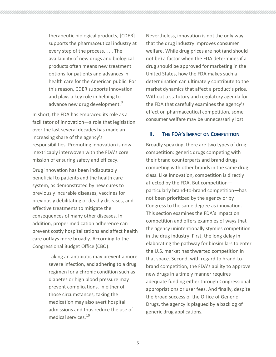therapeutic biological products, [CDER] supports the pharmaceutical industry at every step of the process. . . . The availability of new drugs and biological products often means new treatment options for patients and advances in health care for the American public. For this reason, CDER supports innovation and plays a key role in helping to advance new drug development.<sup>[9](#page-10-8)</sup>

In short, the FDA has embraced its role as a facilitator of innovation—a role that legislation over the last several decades has made an increasing share of the agency's responsibilities. Promoting innovation is now inextricably interwoven with the FDA's core mission of ensuring safety and efficacy.

Drug innovation has been indisputably beneficial to patients and the health care system, as demonstrated by new cures to previously incurable diseases, vaccines for previously debilitating or deadly diseases, and effective treatments to mitigate the consequences of many other diseases. In addition, proper medication adherence can prevent costly hospitalizations and affect health care outlays more broadly. According to the Congressional Budget Office (CBO):

> Taking an antibiotic may prevent a more severe infection, and adhering to a drug regimen for a chronic condition such as diabetes or high blood pressure may prevent complications. In either of those circumstances, taking the medication may also avert hospital admissions and thus reduce the use of medical services.<sup>[10](#page-10-9)</sup>

Nevertheless, innovation is not the only way that the drug industry improves consumer welfare. While drug prices are not (and should not be) a factor when the FDA determines if a drug should be approved for marketing in the United States, how the FDA makes such a determination can ultimately contribute to the market dynamics that affect a product's price. Without a statutory and regulatory agenda for the FDA that carefully examines the agency's effect on pharmaceutical competition, some consumer welfare may be unnecessarily lost.

#### **II. THE FDA'S IMPACT ON COMPETITION**

Broadly speaking, there are two types of drug competition: generic drugs competing with their brand counterparts and brand drugs competing with other brands in the same drug class. Like innovation, competition is directly affected by the FDA. But competition particularly brand-to-brand competition—has not been prioritized by the agency or by Congress to the same degree as innovation. This section examines the FDA's impact on competition and offers examples of ways that the agency unintentionally stymies competition in the drug industry. First, the long delay in elaborating the pathway for biosimilars to enter the U.S. market has thwarted competition in that space. Second, with regard to brand-tobrand competition, the FDA's ability to approve new drugs in a timely manner requires adequate funding either through Congressional appropriations or user fees. And finally, despite the broad success of the Office of Generic Drugs, the agency is plagued by a backlog of generic drug applications.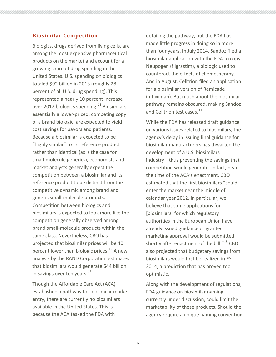#### **Biosimilar Competition**

Biologics, drugs derived from living cells, are among the most expensive pharmaceutical products on the market and account for a growing share of drug spending in the United States. U.S. spending on biologics totaled \$92 billion in 2013 (roughly 28 percent of all U.S. drug spending). This represented a nearly 10 percent increase over 2012 biologics spending.<sup>[11](#page-10-10)</sup> Biosimilars, essentially a lower-priced, competing copy of a brand biologic, are expected to yield cost savings for payors and patients. Because a biosimilar is expected to be "highly similar" to its reference product rather than identical (as is the case for small-molecule generics), economists and market analysts generally expect the competition between a biosimilar and its reference product to be distinct from the competitive dynamic among brand and generic small-molecule products. Competition between biologics and biosimilars is expected to look more like the competition generally observed among brand small-molecule products within the same class. Nevertheless, CBO has projected that biosimilar prices will be 40 percent lower than biologic prices.<sup>[12](#page-10-11)</sup> A new analysis by the RAND Corporation estimates that biosimilars would generate \$44 billion in savings over ten years.<sup>[13](#page-10-12)</sup>

Though the Affordable Care Act (ACA) established a pathway for biosimilar market entry, there are currently no biosimilars available in the United States. This is because the ACA tasked the FDA with

detailing the pathway, but the FDA has made little progress in doing so in more than four years. In July 2014, Sandoz filed a biosimilar application with the FDA to copy Neupogen (filgrastim), a biologic used to counteract the effects of chemotherapy. And in August, Celltrion filed an application for a biosimilar version of Remicade (infliximab). But much about the biosimilar pathway remains obscured, making Sandoz and Celltrion test cases.<sup>[14](#page-10-13)</sup>

While the FDA has released draft guidance on various issues related to biosimilars, the agency's delay in issuing final guidance for biosimilar manufacturers has thwarted the development of a U.S. biosimilars industry—thus preventing the savings that competition would generate. In fact, near the time of the ACA's enactment, CBO estimated that the first biosimilars "could enter the market near the middle of calendar year 2012. In particular, we believe that some applications for [biosimilars] for which regulatory authorities in the European Union have already issued guidance or granted marketing approval would be submitted shortly after enactment of the bill."<sup>[15](#page-10-14)</sup> CBO also projected that budgetary savings from biosimilars would first be realized in FY 2014, a prediction that has proved too optimistic.

Along with the development of regulations, FDA guidance on biosimilar naming, currently under discussion, could limit the marketability of these products. Should the agency require a unique naming convention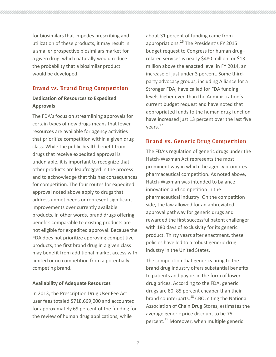for biosimilars that impedes prescribing and utilization of these products, it may result in a smaller prospective biosimilars market for a given drug, which naturally would reduce the probability that a biosimilar product would be developed.

### **Brand vs. Brand Drug Competition**

## **Dedication of Resources to Expedited Approvals**

The FDA's focus on streamlining approvals for certain types of new drugs means that fewer resources are available for agency activities that prioritize competition within a given drug class. While the public health benefit from drugs that receive expedited approval is undeniable, it is important to recognize that other products are leapfrogged in the process and to acknowledge that this has consequences for competition. The four routes for expedited approval noted above apply to drugs that address unmet needs or represent significant improvements over currently available products. In other words, brand drugs offering benefits comparable to existing products are not eligible for expedited approval. Because the FDA does not prioritize approving competitive products, the first brand drug in a given class may benefit from additional market access with limited or no competition from a potentially competing brand.

#### **Availability of Adequate Resources**

In 2013, the Prescription Drug User Fee Act user fees totaled \$718,669,000 and accounted for approximately 69 percent of the funding for the review of human drug applications, while

about 31 percent of funding came from appropriations.<sup>[16](#page-10-15)</sup> The President's FY 2015 budget request to Congress for human drug– related services is nearly \$480 million, or \$13 million above the enacted level in FY 2014, an increase of just under 3 percent. Some thirdparty advocacy groups, including Alliance for a Stronger FDA, have called for FDA funding levels higher even than the Administration's current budget request and have noted that appropriated funds to the human drug function have increased just 13 percent over the last five years.<sup>17</sup>

#### **Brand vs. Generic Drug Competition**

The FDA's regulation of generic drugs under the Hatch-Waxman Act represents the most prominent way in which the agency promotes pharmaceutical competition. As noted above, Hatch-Waxman was intended to balance innovation and competition in the pharmaceutical industry. On the competition side, the law allowed for an abbreviated approval pathway for generic drugs and rewarded the first successful patent challenger with 180 days of exclusivity for its generic product. Thirty years after enactment, these policies have led to a robust generic drug industry in the United States.

The competition that generics bring to the brand drug industry offers substantial benefits to patients and payors in the form of lower drug prices. According to the FDA, generic drugs are 80–85 percent cheaper than their brand counterparts.<sup>[18](#page-10-17)</sup> CBO, citing the National Association of Chain Drug Stores, estimates the average generic price discount to be 75 percent.<sup>[19](#page-10-18)</sup> Moreover, when multiple generic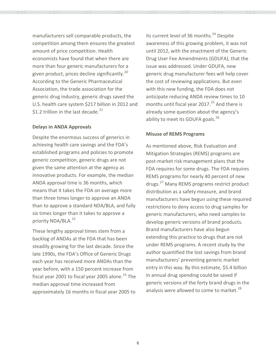manufacturers sell comparable products, the competition among them ensures the greatest amount of price competition. Health economists have found that when there are more than four generic manufacturers for a given product, prices decline significantly. $^{20}$  $^{20}$  $^{20}$ According to the Generic Pharmaceutical Association, the trade association for the generic drug industry, generic drugs saved the U.S. health care system \$217 billion in 2012 and \$1.2 trillion in the last decade. $21$ 

#### **Delays in ANDA Approvals**

Despite the enormous success of generics in achieving health care savings and the FDA's established programs and policies to promote generic competition, generic drugs are not given the same attention at the agency as innovative products. For example, the median ANDA approval time is 36 months, which means that it takes the FDA on average more than three times longer to approve an ANDA than to approve a standard NDA/BLA, and fully six times longer than it takes to approve a priority NDA/BLA.<sup>[22](#page-10-21)</sup>

These lengthy approval times stem from a backlog of ANDAs at the FDA that has been steadily growing for the last decade. Since the late 1990s, the FDA's Office of Generic Drugs each year has received more ANDAs than the year before, with a 150 percent increase from fiscal year 2001 to fiscal year 2005 alone.<sup>[23](#page-11-0)</sup> The median approval time increased from approximately 16 months in fiscal year 2005 to

its current level of 36 months.<sup>[24](#page-11-1)</sup> Despite awareness of this growing problem, it was not until 2012, with the enactment of the Generic Drug User Fee Amendments (GDUFA), that the issue was addressed. Under GDUFA, new generic drug manufacturer fees will help cover the cost of reviewing applications. But even with this new funding, the FDA does not anticipate reducing ANDA review times to 10 months until fiscal year 2017.<sup>[25](#page-11-2)</sup> And there is already some question about the agency's ability to meet its GDUFA goals.<sup>[26](#page-11-3)</sup>

#### **Misuse of REMS Programs**

As mentioned above, Risk Evaluation and Mitigation Strategies (REMS) programs are post-market risk management plans that the FDA requires for some drugs. The FDA requires REMS programs for nearly 40 percent of new drugs.[27](#page-11-4) Many REMS programs restrict product distribution as a safety measure, and brand manufacturers have begun using these required restrictions to deny access to drug samples for generic manufacturers, who need samples to develop generic versions of brand products. Brand manufacturers have also begun extending this practice to drugs that are not under REMS programs. A recent study by the author quantified the lost savings from brand manufacturers' preventing generic market entry in this way. By this estimate, \$5.4 billion in annual drug spending could be saved if generic versions of the forty brand drugs in the analysis were allowed to come to market. $^{28}$  $^{28}$  $^{28}$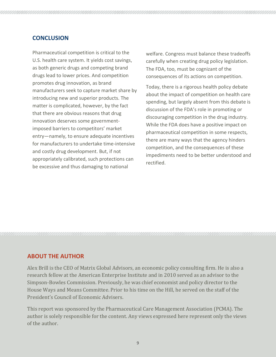## **CONCLUSION**

Pharmaceutical competition is critical to the U.S. health care system. It yields cost savings, as both generic drugs and competing brand drugs lead to lower prices. And competition promotes drug innovation, as brand manufacturers seek to capture market share by introducing new and superior products. The matter is complicated, however, by the fact that there are obvious reasons that drug innovation deserves some governmentimposed barriers to competitors' market entry—namely, to ensure adequate incentives for manufacturers to undertake time-intensive and costly drug development. But, if not appropriately calibrated, such protections can be excessive and thus damaging to national

welfare. Congress must balance these tradeoffs carefully when creating drug policy legislation. The FDA, too, must be cognizant of the consequences of its actions on competition.

Today, there is a rigorous health policy debate about the impact of competition on health care spending, but largely absent from this debate is discussion of the FDA's role in promoting or discouraging competition in the drug industry. While the FDA does have a positive impact on pharmaceutical competition in some respects, there are many ways that the agency hinders competition, and the consequences of these impediments need to be better understood and rectified.

#### **ABOUT THE AUTHOR**

Alex Brill is the CEO of Matrix Global Advisors, an economic policy consulting firm. He is also a research fellow at the American Enterprise Institute and in 2010 served as an advisor to the Simpson-Bowles Commission. Previously, he was chief economist and policy director to the House Ways and Means Committee. Prior to his time on the Hill, he served on the staff of the President's Council of Economic Advisers.

This report was sponsored by the Pharmaceutical Care Management Association (PCMA). The author is solely responsible for the content. Any views expressed here represent only the views of the author.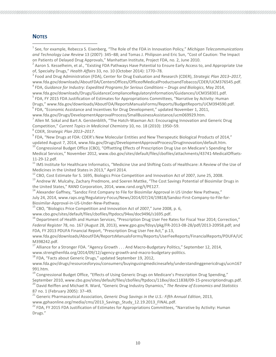#### **NOTES**

l

<span id="page-10-0"></span><sup>1</sup> See, for example, Rebecca S. Eisenberg, "The Role of the FDA in Innovation Policy," *Michigan Telecommunications and Technology Law Review* 13 (2007): 345–88; and Tomas J. Philipson and Eric Sun, "Cost of Caution: The Impact on Patients of Delayed Drug Approvals," Manhattan Institute, Project FDA, no. 2, June 2010.<br><sup>2</sup> Aaron S. Kesselheim, et al., "Existing FDA Pathways Have Potential to Ensure Early Access to, and Appropriate Use

<span id="page-10-1"></span>of, Specialty Drugs," *Health Affairs* 33, no. 10 (October 2014): 1770–78.<br><sup>3</sup> Food and Drug Administration (FDA), Center for Drug Evaluation and Research (CDER), *Strategic Plan 2013–2017*,

<span id="page-10-2"></span>www.fda.gov/downloads/AboutFDA/CentersOffices/OfficeofMedicalProductsandTobacco/CDER/UCM376545.pdf.

<span id="page-10-3"></span><sup>4</sup> FDA, *Guidance for Industry: Expedited Programs for Serious Conditions – Drugs and Biologics*, May 2014, www.fda.gov/downloads/Drugs/GuidanceComplianceRegulatoryInformation/Guidances/UCM358301.pdf.<br><sup>5</sup> FDA, FY 2015 FDA Justification of Estimates for Appropriations Committees, "Narrative by Activity: Human

<span id="page-10-4"></span>Drugs," www.fda.gov/downloads/AboutFDA/ReportsManualsForms/Reports/BudgetReports/UCM394590.pdf.

<span id="page-10-5"></span> $6$  FDA, "Economic Assistance and Incentives for Drug Development," updated November 1, 2011,

www.fda.gov/Drugs/DevelopmentApprovalProcess/SmallBusinessAssistance/ucm069929.htm.<br><sup>7</sup> Allen M. Sokal and Bart A. Gerstenblith, "The Hatch-Waxman Act: Encouraging Innovation and Generic Drug

<span id="page-10-6"></span>Competition," Current Topics in Medicinal Chemistry 10, no. 18 (2010): 1950–59.<br><sup>8</sup> CDER, *Strategic Plan 2013–2017*.<br><sup>9</sup> FDA. "New Drugs at FDA: CDER's New Molecular Entities and New Therapeutic Biological Products of 201

<span id="page-10-7"></span>

<span id="page-10-8"></span>updated August 7, 2014, www.fda.gov/Drugs/DevelopmentApprovalProcess/DrugInnovation/default.htm.<br><sup>10</sup> Congressional Budget Office (CBO), "Offsetting Effects of Prescription Drug Use on Medicare's Spending for

<span id="page-10-9"></span>Medical Services," November 2012, www.cbo.gov/sites/default/files/cbofiles/attachments/43741-MedicalOffsets-

<span id="page-10-10"></span>11-29-12.pdf.<br><sup>11</sup> IMS Institute for Healthcare Informatics, "Medicine Use and Shifting Costs of Healthcare: A Review of the Use of Medicines in the United States in 2013," April 2014.<br><sup>12</sup> CBO, Cost Estimate for S. 1695, Biologics Price Competition and Innovation Act of 2007, June 25, 2008.

<span id="page-10-12"></span><span id="page-10-11"></span><sup>13</sup> Andrew W. Mulcahy, Zachary Predmore, and Soeren Mattke, "The Cost Savings Potential of Biosimilar Drugs in the United States," RAND Corporation, 2014, www.rand.org/t/PE127.

<span id="page-10-13"></span><sup>14</sup> Alexander Gaffney, "Sandoz First Company to File for Biosimilar Approval in US Under New Pathway," July 24, 2014, www.raps.org/Regulatory-Focus/News/2014/07/24/19818/Sandoz-First-Company-to-File-for-Biosimilar-Approval-in-US-Under-New-Pathway.<br><sup>15</sup> CBO, "Biologics Price Competition and Innovation Act of 2007," June 2008, p. 6,

<span id="page-10-14"></span>

www.cbo.gov/sites/default/files/cbofiles/ftpdocs/94xx/doc9496/s1695.pdf.

<span id="page-10-15"></span><sup>16</sup> Department of Health and Human Services, "Prescription Drug User Fee Rates for Fiscal Year 2014; Correction," *Federal Register* 78, no. 167 (August 28, 2013), www.gpo.gov/fdsys/pkg/FR-2013-08-28/pdf/2013-20958.pdf; and FDA, FY 2013 PDUFA Financial Report, "Prescription Drug User Fee Act," p.13,

www.fda.gov/downloads/AboutFDA/ReportsManualsForms/Reports/UserFeeReports/FinancialReports/PDUFA/UC M398242.pdf.<br><sup>17</sup> Alliance for a Stronger FDA. "Agency Growth . . . And Macro-Budgetary Politics," September 12, 2014,

<span id="page-10-16"></span>

<span id="page-10-17"></span>www.strengthenfda.org/2014/09/12/agency-growth-and-macro-budgetary-politics.<br><sup>18</sup> FDA, "Facts about Generic Drugs," updated September 19, 2012,

www.fda.gov/drugs/resourcesforyou/consumers/buyingusingmedicinesafely/understandinggenericdrugs/ucm167 991.htm.

<span id="page-10-18"></span><sup>19</sup> Congressional Budget Office, "Effects of Using Generic Drugs on Medicare's Prescription Drug Spending," September 2010, www.cbo.gov/sites/default/files/cbofiles/ftpdocs/118xx/doc11838/09-15-prescriptiondrugs.pdf.<br><sup>20</sup> David Reiffen and Michael R. Ward, "Generic Drug Industry Dynamics," The Review of Economics and Statistics

<span id="page-10-20"></span><span id="page-10-19"></span>87 no. 1 (February 2005): 37–49.<br><sup>21</sup> Generic Pharmaceutical Association, *Generic Drug Savings in the U.S.: Fifth Annual Edition*, 2013, www.gphaonline.org/media/cms/2013 Savings Study 12.19.2013 FINAL.pdf.

<span id="page-10-21"></span><sup>22</sup> FDA, FY 2015 FDA Justification of Estimates for Appropriations Committees, "Narrative by Activity: Human Drugs."